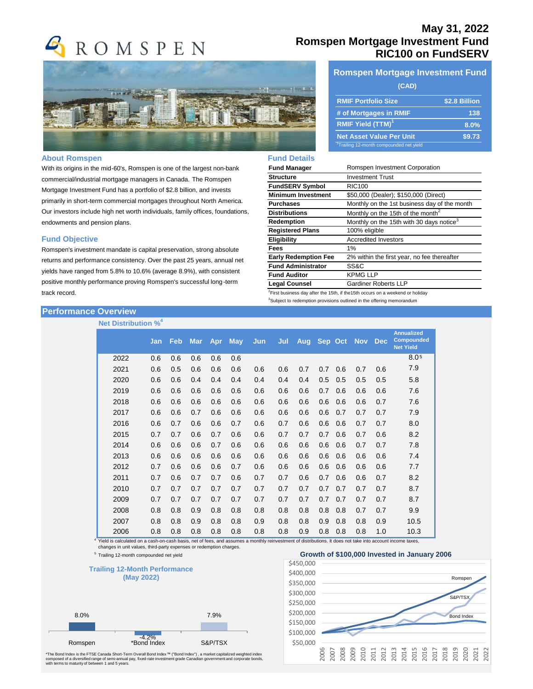

#### **About Romspen**

With its origins in the mid-60's, Romspen is one of the largest non-bank commercial/industrial mortgage managers in Canada. The Romspen Mortgage Investment Fund has a portfolio of \$2.8 billion, and invests primarily in short-term commercial mortgages throughout North America. Our investors include high net worth individuals, family offices, foundations, endowments and pension plans.

#### **Fund Objective**

Romspen's investment mandate is capital preservation, strong absolute returns and performance consistency. Over the past 25 years, annual net yields have ranged from 5.8% to 10.6% (average 8.9%), with consistent positive monthly performance proving Romspen's successful long-term track record.

## **Performance Overview**

**Net Distribution %<sup>4</sup>**

| <b>Net Distribution %</b> |     |            |            |     |            |            |     |            |         |     |            |            |                                                            |
|---------------------------|-----|------------|------------|-----|------------|------------|-----|------------|---------|-----|------------|------------|------------------------------------------------------------|
|                           | Jan | <b>Feb</b> | <b>Mar</b> | Apr | <b>May</b> | <b>Jun</b> | Jul | <b>Aug</b> | Sep Oct |     | <b>Nov</b> | <b>Dec</b> | <b>Annualized</b><br><b>Compounded</b><br><b>Net Yield</b> |
| 2022                      | 0.6 | 0.6        | 0.6        | 0.6 | 0.6        |            |     |            |         |     |            |            | 8.05                                                       |
| 2021                      | 0.6 | 0.5        | 0.6        | 0.6 | 0.6        | 0.6        | 0.6 | 0.7        | 0.7     | 0.6 | 0.7        | 0.6        | 7.9                                                        |
| 2020                      | 0.6 | 0.6        | 0.4        | 0.4 | 0.4        | 0.4        | 0.4 | 0.4        | 0.5     | 0.5 | 0.5        | 0.5        | 5.8                                                        |
| 2019                      | 0.6 | 0.6        | 0.6        | 0.6 | 0.6        | 0.6        | 0.6 | 0.6        | 0.7     | 0.6 | 0.6        | 0.6        | 7.6                                                        |
| 2018                      | 0.6 | 0.6        | 0.6        | 0.6 | 0.6        | 0.6        | 0.6 | 0.6        | 0.6     | 0.6 | 0.6        | 0.7        | 7.6                                                        |
| 2017                      | 0.6 | 0.6        | 0.7        | 0.6 | 0.6        | 0.6        | 0.6 | 0.6        | 0.6     | 0.7 | 0.7        | 0.7        | 7.9                                                        |
| 2016                      | 0.6 | 0.7        | 0.6        | 0.6 | 0.7        | 0.6        | 0.7 | 0.6        | 0.6     | 0.6 | 0.7        | 0.7        | 8.0                                                        |
| 2015                      | 0.7 | 0.7        | 0.6        | 0.7 | 0.6        | 0.6        | 0.7 | 0.7        | 0.7     | 0.6 | 0.7        | 0.6        | 8.2                                                        |
| 2014                      | 0.6 | 0.6        | 0.6        | 0.7 | 0.6        | 0.6        | 0.6 | 0.6        | 0.6     | 0.6 | 0.7        | 0.7        | 7.8                                                        |
| 2013                      | 0.6 | 0.6        | 0.6        | 0.6 | 0.6        | 0.6        | 0.6 | 0.6        | 0.6     | 0.6 | 0.6        | 0.6        | 7.4                                                        |
| 2012                      | 0.7 | 0.6        | 0.6        | 0.6 | 0.7        | 0.6        | 0.6 | 0.6        | 0.6     | 0.6 | 0.6        | 0.6        | 7.7                                                        |
| 2011                      | 0.7 | 0.6        | 0.7        | 0.7 | 0.6        | 0.7        | 0.7 | 0.6        | 0.7     | 0.6 | 0.6        | 0.7        | 8.2                                                        |
| 2010                      | 0.7 | 0.7        | 0.7        | 0.7 | 0.7        | 0.7        | 0.7 | 0.7        | 0.7     | 0.7 | 0.7        | 0.7        | 8.7                                                        |
| 2009                      | 0.7 | 0.7        | 0.7        | 0.7 | 0.7        | 0.7        | 0.7 | 0.7        | 0.7     | 0.7 | 0.7        | 0.7        | 8.7                                                        |
| 2008                      | 0.8 | 0.8        | 0.9        | 0.8 | 0.8        | 0.8        | 0.8 | 0.8        | 0.8     | 0.8 | 0.7        | 0.7        | 9.9                                                        |
| 2007                      | 0.8 | 0.8        | 0.9        | 0.8 | 0.8        | 0.9        | 0.8 | 0.8        | 0.9     | 0.8 | 0.8        | 0.9        | 10.5                                                       |
| 2006                      | 0.8 | 0.8        | 0.8        | 0.8 | 0.8        | 0.8        | 0.8 | 0.9        | 0.8     | 0.8 | 0.8        | 1.0        | 10.3                                                       |

4 Yield is calculated on a cash-on-cash basis, net of fees, and assumes a monthly reinvestment of distributions. It does not take into account income taxes, changes in unit values, third-party expenses or redemption charges.

<sup>5</sup> Trailing 12-month compounded net yield



\*The Bond Index is the FTSE Canada Short-Term Overall Bond Index™ ("Bond Index") , a market capitalized weighted index<br>composed of a diversified range of semi-annual pay, fixed-rate investment grade Canadian government an

# **May 31, 2022 Romspen Mortgage Investment Fund RIC100 on FundSERV**

# **Romspen Mortgage Investment Fund**

### **(CAD)**

| <b>RMIF Portfolio Size</b>                          | \$2.8 Billion |
|-----------------------------------------------------|---------------|
| # of Mortgages in RMIF                              | 138           |
| <b>RMIF Yield (TTM)<sup>1</sup></b>                 | 8.0%          |
| <b>Net Asset Value Per Unit</b>                     | \$9.73        |
| <sup>1</sup> Trailing 12-month compounded net yield |               |

# **Fund Details**

| <b>Fund Manager</b>         | Romspen Investment Corporation                       |
|-----------------------------|------------------------------------------------------|
| <b>Structure</b>            | <b>Investment Trust</b>                              |
| <b>FundSERV Symbol</b>      | <b>RIC100</b>                                        |
| <b>Minimum Investment</b>   | \$50,000 (Dealer); \$150,000 (Direct)                |
| <b>Purchases</b>            | Monthly on the 1st business day of the month         |
| <b>Distributions</b>        | Monthly on the 15th of the month <sup>2</sup>        |
| Redemption                  | Monthly on the 15th with 30 days notice <sup>3</sup> |
| <b>Registered Plans</b>     | 100% eligible                                        |
| Eligibility                 | <b>Accredited Investors</b>                          |
| Fees                        | 1%                                                   |
| <b>Early Redemption Fee</b> | 2% within the first year, no fee thereafter          |
| <b>Fund Administrator</b>   | SS&C                                                 |
| <b>Fund Auditor</b>         | <b>KPMG LLP</b>                                      |
| <b>Legal Counsel</b>        | <b>Gardiner Roberts LLP</b>                          |

 $2$ First business day after the 15th, if the15th occurs on a weekend or holiday <sup>3</sup>Subject to redemption provisions outlined in the offering memorandum

#### Growth of \$100,000 Invested in January 2006 \$50,000 \$100,000 \$150,000 \$200,000 \$250,000 \$300,000 \$350,000 \$400,000 \$450,000 2006 2007 2008 2009 2010 2011 2012 2013 2014 2015 2016 2017 2018 2019 2020 2021 2022 Romspen S&P/TSX Bond Index